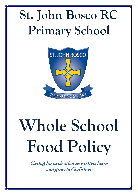## **St. John Bosco RC Primary School**



# **Whole School Food Policy**

Caring for each other as we live, learn and grow in God's love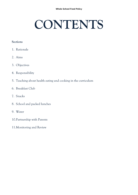## **CONTENTS**

#### **Sections**

- 1. Rationale
- 2. Aims
- 3. Objectives
- 4. Responsibility
- 5. Teaching about health eating and cooking in the curriculum
- 6. Breakfast Club
- 7. Snacks
- 8. School and packed lunches
- 9. Water
- 10.Partnership with Parents
- 11.Monitoring and Review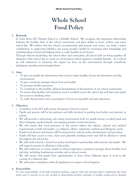### **Whole School Food Policy**

#### **1. Rationale**

St. John Bosco RC Primary School is a Healthy School. We recognise the important relationship between the healthy diets of the school community and their ability to learn, achieve and enjoy school life. We believe that the school, in partnership with parents and carers, can make a major contribution to improving children and young people's health by increasing their knowledge and understanding of food and helping them to make healthy food choices.

Through effective leadership, the school ethos and curriculum, all school staff can bring together all elements of the school day to create an environment which supports a healthy lifestyle. As a school we will endeavour to minimise the impact we have on the environment through considerate packaging, recycling and managing litter.

#### **2. Aims**

- To give our pupils the information they need to make healthy choices for themselves and the environment;
- To give consistent messages about food and health;
- To promote health awareness;
- To contribute to the healthy, physical development of all members of our school community;
- To ensure that healthy and nutritious food is available across the school day and that every pupil has access to drinking water.
- To make the provision and consumption of food an enjoyable and safe experience.

#### **3. Objectives**

- A member of the SLT will oversee all aspects of food in school.
- Pupils and parents will be key partners and fully involved in guiding food policy and practice in school.
- We will provide a welcoming, safe eating environment both for pupils having a cooked meal and those bringing a packed lunch, encouraging positive social interaction.
- We will ensure that food provision in the school reflects the ethical, cultural and medical requirements of staff and pupils, e.g. religious, ethnic, vegetarian, medical and allergenic needs.
- Pupils food choices and menus will be monitored to inform policy development and provision.
- Pupils will have access to free, clean and palatable drinking water and will be allowed to drink throughout the school day.
- We will work towards a lunch box policy developed in partnership with parents and pupils. We will support parents in adhering to this policy.
- We will endeavour to ensure pupils in school experience consistent messages about healthy food and diet, including fundraising activities and at school events.
- We will ensure that pupils have opportunities to learn about different types of food in the context of a balanced diet.
- We will ensure compliance with all regulations in respect of food hygiene.

#### **4. Responsibility**

It is the responsibility of all staff including teaching, support staff and catering staff to implement the food policy and to actively act as role models to demonstrate positive attitudes to healthy eating and to develop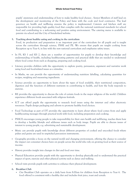pupils' awareness and understanding of how to make healthy food choices . Senior Members of staff lead on the development and monitoring of the Policy and liaise with the cook and food contractor. The lead governor on health and wellbeing ensures the policy is implemented. Caterers and kitchen staff are responsible for providing high quality food that complies with the national nutritional standards for school food and contributing to a welcoming and positive eating environment. The catering menu is available to parents via school and the City of Sunderland website.

#### **5. Teaching about healthy eating and cooking in the curriculum**

Food, its production and preparation is an important part of the curriculum for all pupils and is taught across the curriculum through science, PSHE and PE. We ensure that pupils are taught cooking from Reception up to Year 6, in line with the new national curriculum and emphasise safety issues.

- In FS, KS 1 and KS 2, there are a number of opportunities for pupils to develop their knowledge and understanding of health, including healthy-eating patterns and practical skills that are needed to understand where food comes from such as shopping, preparing and cooking food.
- Literacy provides children with the opportunity to explore poetry, persuasion, argument and narrative work using food and food-related issues as a stimulus.
- In Maths, we can provide the opportunity of understanding nutrition labelling, calculating quantities for recipes, weighing and measuring ingredients.
- Science provides an opportunity to learn about the types of food available, their nutritional composition, digestion and the function of different nutrients in contributing to health, and how the body responds to exercise.
- RE provides the opportunity to discuss the role of certain foods in the major religions of the world. Children experience different foods associated with religious festivals.
- ICT can afford pupils the opportunity to research food issues using the internet and other electronic resources. Pupils design packaging and adverts to promote healthy food choices.
- Food Technology as part of DT provides the opportunity to learn about where food comes from and apply healthy-eating messages through practical work with food, including preparation and cooking.
- PSHCE encourages young people to take responsibility for their own health and well-being, teaches them how to develop a healthy lifestyle and addresses issues such as body image. Pupils are able to discuss issues of interest to young people, e.g. advertising and sustainable development.
- Music can provide pupils with knowledge about different properties of cooked and uncooked foods where pulses and grains are used in unpitched percussion instruments.
- Geography provides a focus on the natural world and changing environment, offering the chance to consider the impact our consumer choices have on people across the world who rely on growing food as their source of income.
- History provides insight into changes in diet and food over time.
- Physical Education provides pupils with the opportunity to develop physically and to understand the practical impact of sport, exercise and other physical activity such as dance and walking.
- School visits provide pupils with activities to enhance their physical development.

#### **6. Breakfast Club**

 Our Breakfast Club operates on a daily basis from 8.00am for children from Reception to Year 6. The food offered is consistent with a healthy diet and includes fruit juice, toast and cereals.